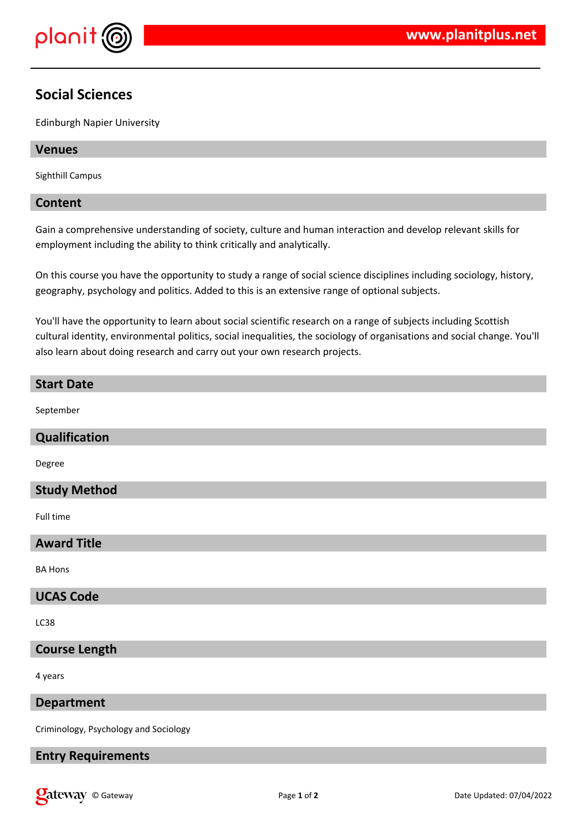

# **Social Sciences**

Edinburgh Napier University

## **Venues**

Sighthill Campus

### **Content**

Gain a comprehensive understanding of society, culture and human interaction and develop relevant skills for employment including the ability to think critically and analytically.

On this course you have the opportunity to study a range of social science disciplines including sociology, history, geography, psychology and politics. Added to this is an extensive range of optional subjects.

You'll have the opportunity to learn about social scientific research on a range of subjects including Scottish cultural identity, environmental politics, social inequalities, the sociology of organisations and social change. You'll also learn about doing research and carry out your own research projects.

# **Start Date** September **Qualification** Degree **Study Method**

Full time

### **Award Title**

BA Hons

### **UCAS Code**

LC38

# **Course Length**

4 years

### **Department**

Criminology, Psychology and Sociology

### **Entry Requirements**